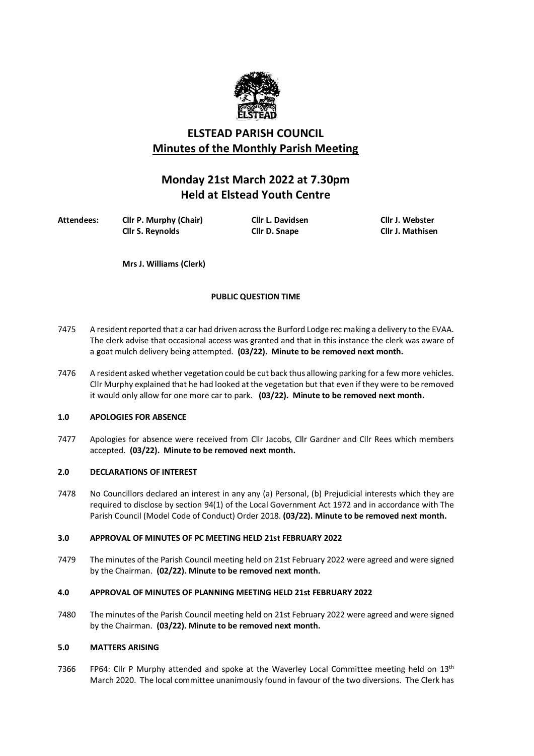

# **ELSTEAD PARISH COUNCIL Minutes of the Monthly Parish Meeting**

# **Monday 21st March 2022 at 7.30pm Held at Elstead Youth Centre**

**Attendees: Cllr P. Murphy (Chair) Cllr L. Davidsen Cllr J. Webster Cllr S. Reynolds Cllr D. Snape** 

**Mrs J. Williams (Clerk)**

# **PUBLIC QUESTION TIME**

- 7475 A resident reported that a car had driven across the Burford Lodge rec making a delivery to the EVAA. The clerk advise that occasional access was granted and that in this instance the clerk was aware of a goat mulch delivery being attempted. **(03/22). Minute to be removed next month.**
- 7476 A resident asked whether vegetation could be cut back thus allowing parking for a few more vehicles. Cllr Murphy explained that he had looked at the vegetation but that even if they were to be removed it would only allow for one more car to park. **(03/22). Minute to be removed next month.**

# **1.0 APOLOGIES FOR ABSENCE**

7477 Apologies for absence were received from Cllr Jacobs, Cllr Gardner and Cllr Rees which members accepted. **(03/22). Minute to be removed next month.**

# **2.0 DECLARATIONS OF INTEREST**

7478 No Councillors declared an interest in any any (a) Personal, (b) Prejudicial interests which they are required to disclose by section 94(1) of the Local Government Act 1972 and in accordance with The Parish Council (Model Code of Conduct) Order 2018. **(03/22). Minute to be removed next month.**

# **3.0 APPROVAL OF MINUTES OF PC MEETING HELD 21st FEBRUARY 2022**

7479 The minutes of the Parish Council meeting held on 21st February 2022 were agreed and were signed by the Chairman. **(02/22). Minute to be removed next month.**

# **4.0 APPROVAL OF MINUTES OF PLANNING MEETING HELD 21st FEBRUARY 2022**

7480 The minutes of the Parish Council meeting held on 21st February 2022 were agreed and were signed by the Chairman. **(03/22). Minute to be removed next month.**

# **5.0 MATTERS ARISING**

7366 FP64: Cllr P Murphy attended and spoke at the Waverley Local Committee meeting held on  $13<sup>th</sup>$ March 2020. The local committee unanimously found in favour of the two diversions. The Clerk has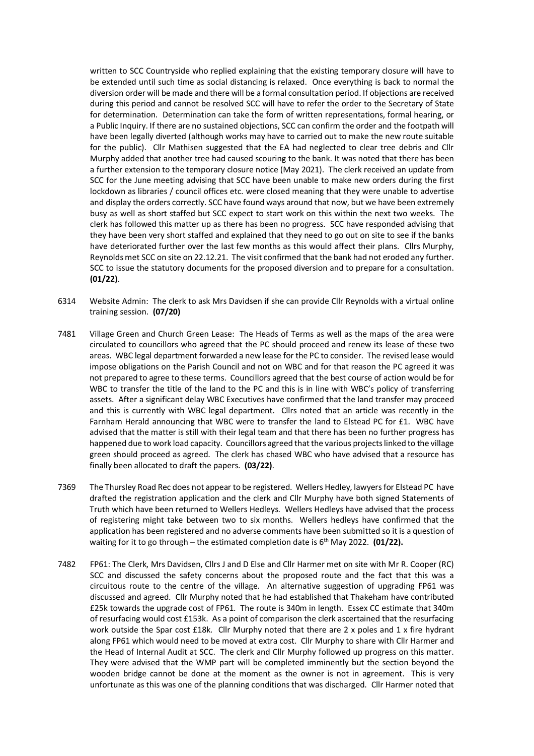written to SCC Countryside who replied explaining that the existing temporary closure will have to be extended until such time as social distancing is relaxed. Once everything is back to normal the diversion order will be made and there will be a formal consultation period. If objections are received during this period and cannot be resolved SCC will have to refer the order to the Secretary of State for determination. Determination can take the form of written representations, formal hearing, or a Public Inquiry. If there are no sustained objections, SCC can confirm the order and the footpath will have been legally diverted (although works may have to carried out to make the new route suitable for the public). Cllr Mathisen suggested that the EA had neglected to clear tree debris and Cllr Murphy added that another tree had caused scouring to the bank. It was noted that there has been a further extension to the temporary closure notice (May 2021). The clerk received an update from SCC for the June meeting advising that SCC have been unable to make new orders during the first lockdown as libraries / council offices etc. were closed meaning that they were unable to advertise and display the orders correctly. SCC have found ways around that now, but we have been extremely busy as well as short staffed but SCC expect to start work on this within the next two weeks. The clerk has followed this matter up as there has been no progress. SCC have responded advising that they have been very short staffed and explained that they need to go out on site to see if the banks have deteriorated further over the last few months as this would affect their plans. Cllrs Murphy, Reynolds met SCC on site on 22.12.21. The visit confirmed that the bank had not eroded any further. SCC to issue the statutory documents for the proposed diversion and to prepare for a consultation. **(01/22)**.

- 6314 Website Admin: The clerk to ask Mrs Davidsen if she can provide Cllr Reynolds with a virtual online training session. **(07/20)**
- 7481 Village Green and Church Green Lease: The Heads of Terms as well as the maps of the area were circulated to councillors who agreed that the PC should proceed and renew its lease of these two areas. WBC legal department forwarded a new lease for the PC to consider. The revised lease would impose obligations on the Parish Council and not on WBC and for that reason the PC agreed it was not prepared to agree to these terms. Councillors agreed that the best course of action would be for WBC to transfer the title of the land to the PC and this is in line with WBC's policy of transferring assets. After a significant delay WBC Executives have confirmed that the land transfer may proceed and this is currently with WBC legal department. Cllrs noted that an article was recently in the Farnham Herald announcing that WBC were to transfer the land to Elstead PC for £1. WBC have advised that the matter is still with their legal team and that there has been no further progress has happened due to work load capacity. Councillors agreed that the various projects linked to the village green should proceed as agreed. The clerk has chased WBC who have advised that a resource has finally been allocated to draft the papers. **(03/22)**.
- 7369 The Thursley Road Rec does not appear to be registered. Wellers Hedley, lawyers for Elstead PC have drafted the registration application and the clerk and Cllr Murphy have both signed Statements of Truth which have been returned to Wellers Hedleys. Wellers Hedleys have advised that the process of registering might take between two to six months. Wellers hedleys have confirmed that the application has been registered and no adverse comments have been submitted so it is a question of waiting for it to go through – the estimated completion date is 6<sup>th</sup> May 2022. **(01/22).**
- 7482 FP61: The Clerk, Mrs Davidsen, Cllrs J and D Else and Cllr Harmer met on site with Mr R. Cooper (RC) SCC and discussed the safety concerns about the proposed route and the fact that this was a circuitous route to the centre of the village. An alternative suggestion of upgrading FP61 was discussed and agreed. Cllr Murphy noted that he had established that Thakeham have contributed £25k towards the upgrade cost of FP61. The route is 340m in length. Essex CC estimate that 340m of resurfacing would cost £153k. As a point of comparison the clerk ascertained that the resurfacing work outside the Spar cost £18k. Cllr Murphy noted that there are 2 x poles and 1 x fire hydrant along FP61 which would need to be moved at extra cost. Cllr Murphy to share with Cllr Harmer and the Head of Internal Audit at SCC. The clerk and Cllr Murphy followed up progress on this matter. They were advised that the WMP part will be completed imminently but the section beyond the wooden bridge cannot be done at the moment as the owner is not in agreement. This is very unfortunate as this was one of the planning conditions that was discharged. Cllr Harmer noted that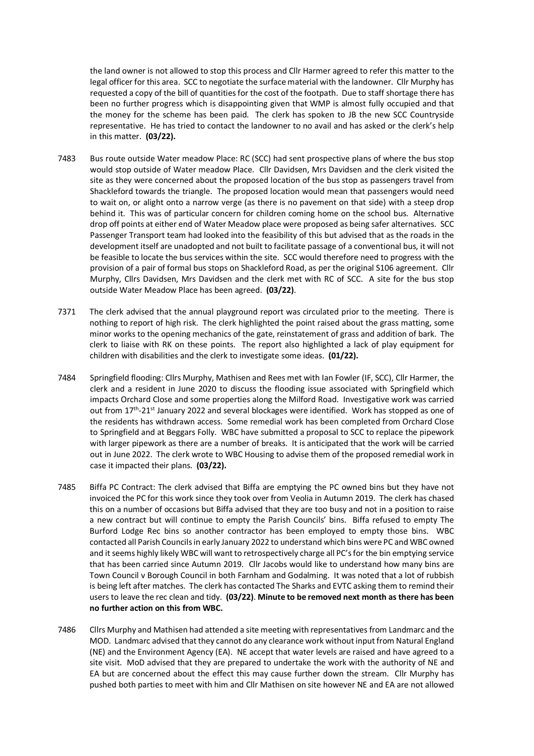the land owner is not allowed to stop this process and Cllr Harmer agreed to refer this matter to the legal officer for this area. SCC to negotiate the surface material with the landowner. Cllr Murphy has requested a copy of the bill of quantities for the cost of the footpath. Due to staff shortage there has been no further progress which is disappointing given that WMP is almost fully occupied and that the money for the scheme has been paid. The clerk has spoken to JB the new SCC Countryside representative. He has tried to contact the landowner to no avail and has asked or the clerk's help in this matter. **(03/22).** 

- 7483 Bus route outside Water meadow Place: RC (SCC) had sent prospective plans of where the bus stop would stop outside of Water meadow Place. Cllr Davidsen, Mrs Davidsen and the clerk visited the site as they were concerned about the proposed location of the bus stop as passengers travel from Shackleford towards the triangle. The proposed location would mean that passengers would need to wait on, or alight onto a narrow verge (as there is no pavement on that side) with a steep drop behind it. This was of particular concern for children coming home on the school bus. Alternative drop off points at either end of Water Meadow place were proposed as being safer alternatives. SCC Passenger Transport team had looked into the feasibility of this but advised that as the roads in the development itself are unadopted and not built to facilitate passage of a conventional bus, it will not be feasible to locate the bus services within the site. SCC would therefore need to progress with the provision of a pair of formal bus stops on Shackleford Road, as per the original S106 agreement. Cllr Murphy, Cllrs Davidsen, Mrs Davidsen and the clerk met with RC of SCC. A site for the bus stop outside Water Meadow Place has been agreed. **(03/22)**.
- 7371 The clerk advised that the annual playground report was circulated prior to the meeting. There is nothing to report of high risk. The clerk highlighted the point raised about the grass matting, some minor works to the opening mechanics of the gate, reinstatement of grass and addition of bark. The clerk to liaise with RK on these points. The report also highlighted a lack of play equipment for children with disabilities and the clerk to investigate some ideas. **(01/22).**
- 7484 Springfield flooding: Cllrs Murphy, Mathisen and Rees met with Ian Fowler (IF, SCC), Cllr Harmer, the clerk and a resident in June 2020 to discuss the flooding issue associated with Springfield which impacts Orchard Close and some properties along the Milford Road. Investigative work was carried out from 17<sup>th</sup>-21<sup>st</sup> January 2022 and several blockages were identified. Work has stopped as one of the residents has withdrawn access. Some remedial work has been completed from Orchard Close to Springfield and at Beggars Folly. WBC have submitted a proposal to SCC to replace the pipework with larger pipework as there are a number of breaks. It is anticipated that the work will be carried out in June 2022. The clerk wrote to WBC Housing to advise them of the proposed remedial work in case it impacted their plans. **(03/22).**
- 7485 Biffa PC Contract: The clerk advised that Biffa are emptying the PC owned bins but they have not invoiced the PC for this work since they took over from Veolia in Autumn 2019. The clerk has chased this on a number of occasions but Biffa advised that they are too busy and not in a position to raise a new contract but will continue to empty the Parish Councils' bins. Biffa refused to empty The Burford Lodge Rec bins so another contractor has been employed to empty those bins. WBC contacted all Parish Councils in early January 2022 to understand which bins were PC and WBC owned and it seems highly likely WBC will want to retrospectively charge all PC's for the bin emptying service that has been carried since Autumn 2019. Cllr Jacobs would like to understand how many bins are Town Council v Borough Council in both Farnham and Godalming. It was noted that a lot of rubbish is being left after matches. The clerk has contacted The Sharks and EVTC asking them to remind their users to leave the rec clean and tidy. **(03/22)**. **Minute to be removed next month as there has been no further action on this from WBC.**
- 7486 Cllrs Murphy and Mathisen had attended a site meeting with representatives from Landmarc and the MOD. Landmarc advised that they cannot do any clearance work without input from Natural England (NE) and the Environment Agency (EA). NE accept that water levels are raised and have agreed to a site visit. MoD advised that they are prepared to undertake the work with the authority of NE and EA but are concerned about the effect this may cause further down the stream. Cllr Murphy has pushed both parties to meet with him and Cllr Mathisen on site however NE and EA are not allowed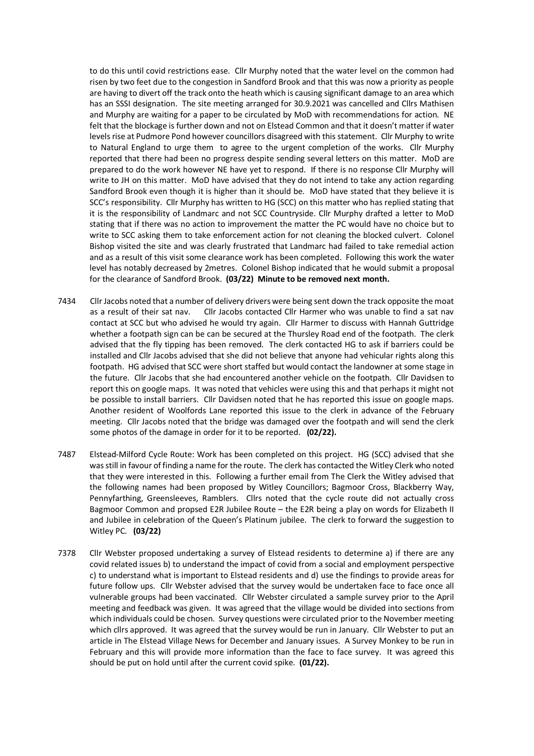to do this until covid restrictions ease. Cllr Murphy noted that the water level on the common had risen by two feet due to the congestion in Sandford Brook and that this was now a priority as people are having to divert off the track onto the heath which is causing significant damage to an area which has an SSSI designation. The site meeting arranged for 30.9.2021 was cancelled and Cllrs Mathisen and Murphy are waiting for a paper to be circulated by MoD with recommendations for action. NE felt that the blockage is further down and not on Elstead Common and that it doesn't matter if water levels rise at Pudmore Pond however councillors disagreed with this statement. Cllr Murphy to write to Natural England to urge them to agree to the urgent completion of the works. Cllr Murphy reported that there had been no progress despite sending several letters on this matter. MoD are prepared to do the work however NE have yet to respond. If there is no response Cllr Murphy will write to JH on this matter. MoD have advised that they do not intend to take any action regarding Sandford Brook even though it is higher than it should be. MoD have stated that they believe it is SCC's responsibility. Cllr Murphy has written to HG (SCC) on this matter who has replied stating that it is the responsibility of Landmarc and not SCC Countryside. Cllr Murphy drafted a letter to MoD stating that if there was no action to improvement the matter the PC would have no choice but to write to SCC asking them to take enforcement action for not cleaning the blocked culvert. Colonel Bishop visited the site and was clearly frustrated that Landmarc had failed to take remedial action and as a result of this visit some clearance work has been completed. Following this work the water level has notably decreased by 2metres. Colonel Bishop indicated that he would submit a proposal for the clearance of Sandford Brook. **(03/22) Minute to be removed next month.**

- 7434 Cllr Jacobs noted that a number of delivery drivers were being sent down the track opposite the moat as a result of their sat nav. Cllr Jacobs contacted Cllr Harmer who was unable to find a sat nav contact at SCC but who advised he would try again. Cllr Harmer to discuss with Hannah Guttridge whether a footpath sign can be can be secured at the Thursley Road end of the footpath. The clerk advised that the fly tipping has been removed. The clerk contacted HG to ask if barriers could be installed and Cllr Jacobs advised that she did not believe that anyone had vehicular rights along this footpath. HG advised that SCC were short staffed but would contact the landowner at some stage in the future. Cllr Jacobs that she had encountered another vehicle on the footpath. Cllr Davidsen to report this on google maps. It was noted that vehicles were using this and that perhaps it might not be possible to install barriers. Cllr Davidsen noted that he has reported this issue on google maps. Another resident of Woolfords Lane reported this issue to the clerk in advance of the February meeting. Cllr Jacobs noted that the bridge was damaged over the footpath and will send the clerk some photos of the damage in order for it to be reported. **(02/22).**
- 7487 Elstead-Milford Cycle Route: Work has been completed on this project. HG (SCC) advised that she was still in favour of finding a name for the route. The clerk has contacted the Witley Clerk who noted that they were interested in this. Following a further email from The Clerk the Witley advised that the following names had been proposed by Witley Councillors; Bagmoor Cross, Blackberry Way, Pennyfarthing, Greensleeves, Ramblers. Cllrs noted that the cycle route did not actually cross Bagmoor Common and propsed E2R Jubilee Route – the E2R being a play on words for Elizabeth II and Jubilee in celebration of the Queen's Platinum jubilee. The clerk to forward the suggestion to Witley PC. **(03/22)**
- 7378 Cllr Webster proposed undertaking a survey of Elstead residents to determine a) if there are any covid related issues b) to understand the impact of covid from a social and employment perspective c) to understand what is important to Elstead residents and d) use the findings to provide areas for future follow ups. Cllr Webster advised that the survey would be undertaken face to face once all vulnerable groups had been vaccinated. Cllr Webster circulated a sample survey prior to the April meeting and feedback was given. It was agreed that the village would be divided into sections from which individuals could be chosen. Survey questions were circulated prior to the November meeting which cllrs approved. It was agreed that the survey would be run in January. Cllr Webster to put an article in The Elstead Village News for December and January issues. A Survey Monkey to be run in February and this will provide more information than the face to face survey. It was agreed this should be put on hold until after the current covid spike. **(01/22).**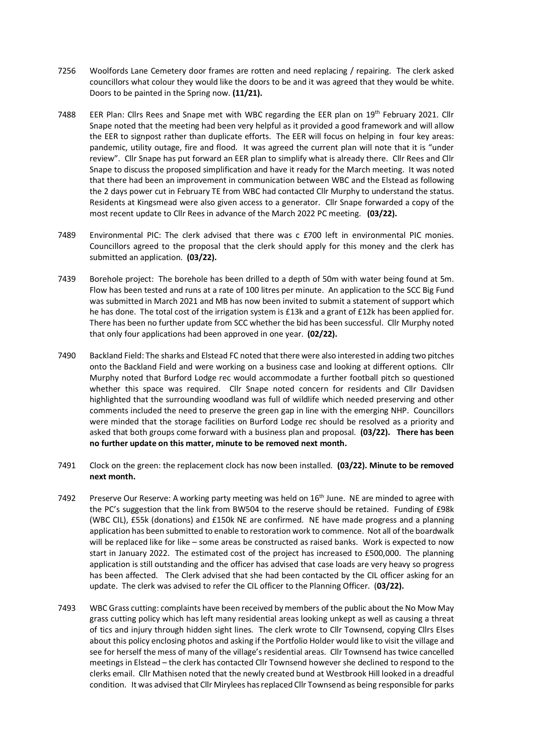- 7256 Woolfords Lane Cemetery door frames are rotten and need replacing / repairing. The clerk asked councillors what colour they would like the doors to be and it was agreed that they would be white. Doors to be painted in the Spring now. **(11/21).**
- 7488 EER Plan: Cllrs Rees and Snape met with WBC regarding the EER plan on 19<sup>th</sup> February 2021. Cllr Snape noted that the meeting had been very helpful as it provided a good framework and will allow the EER to signpost rather than duplicate efforts. The EER will focus on helping in four key areas: pandemic, utility outage, fire and flood. It was agreed the current plan will note that it is "under review". Cllr Snape has put forward an EER plan to simplify what is already there. Cllr Rees and Cllr Snape to discuss the proposed simplification and have it ready for the March meeting. It was noted that there had been an improvement in communication between WBC and the Elstead as following the 2 days power cut in February TE from WBC had contacted Cllr Murphy to understand the status. Residents at Kingsmead were also given access to a generator. Cllr Snape forwarded a copy of the most recent update to Cllr Rees in advance of the March 2022 PC meeting. **(03/22).**
- 7489 Environmental PIC: The clerk advised that there was c £700 left in environmental PIC monies. Councillors agreed to the proposal that the clerk should apply for this money and the clerk has submitted an application. **(03/22).**
- 7439 Borehole project: The borehole has been drilled to a depth of 50m with water being found at 5m. Flow has been tested and runs at a rate of 100 litres per minute. An application to the SCC Big Fund was submitted in March 2021 and MB has now been invited to submit a statement of support which he has done. The total cost of the irrigation system is £13k and a grant of £12k has been applied for. There has been no further update from SCC whether the bid has been successful. Cllr Murphy noted that only four applications had been approved in one year. **(02/22).**
- 7490 Backland Field: The sharks and Elstead FC noted that there were also interested in adding two pitches onto the Backland Field and were working on a business case and looking at different options. Cllr Murphy noted that Burford Lodge rec would accommodate a further football pitch so questioned whether this space was required. Cllr Snape noted concern for residents and Cllr Davidsen highlighted that the surrounding woodland was full of wildlife which needed preserving and other comments included the need to preserve the green gap in line with the emerging NHP. Councillors were minded that the storage facilities on Burford Lodge rec should be resolved as a priority and asked that both groups come forward with a business plan and proposal. **(03/22). There has been no further update on this matter, minute to be removed next month.**
- 7491 Clock on the green: the replacement clock has now been installed. **(03/22). Minute to be removed next month.**
- 7492 Preserve Our Reserve: A working party meeting was held on 16<sup>th</sup> June. NE are minded to agree with the PC's suggestion that the link from BW504 to the reserve should be retained. Funding of £98k (WBC CIL), £55k (donations) and £150k NE are confirmed. NE have made progress and a planning application has been submitted to enable to restoration work to commence. Not all of the boardwalk will be replaced like for like – some areas be constructed as raised banks. Work is expected to now start in January 2022. The estimated cost of the project has increased to £500,000. The planning application is still outstanding and the officer has advised that case loads are very heavy so progress has been affected. The Clerk advised that she had been contacted by the CIL officer asking for an update. The clerk was advised to refer the CIL officer to the Planning Officer. (**03/22).**
- 7493 WBC Grass cutting: complaints have been received by members of the public about the No Mow May grass cutting policy which has left many residential areas looking unkept as well as causing a threat of tics and injury through hidden sight lines. The clerk wrote to Cllr Townsend, copying Cllrs Elses about this policy enclosing photos and asking if the Portfolio Holder would like to visit the village and see for herself the mess of many of the village's residential areas. Cllr Townsend has twice cancelled meetings in Elstead – the clerk has contacted Cllr Townsend however she declined to respond to the clerks email. Cllr Mathisen noted that the newly created bund at Westbrook Hill looked in a dreadful condition. It was advised that Cllr Mirylees has replaced Cllr Townsend as being responsible for parks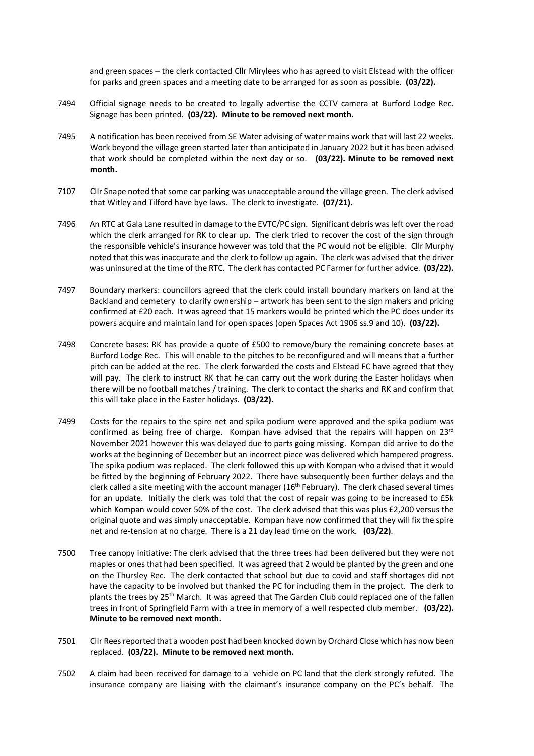and green spaces – the clerk contacted Cllr Mirylees who has agreed to visit Elstead with the officer for parks and green spaces and a meeting date to be arranged for as soon as possible. **(03/22).** 

- 7494 Official signage needs to be created to legally advertise the CCTV camera at Burford Lodge Rec. Signage has been printed. **(03/22). Minute to be removed next month.**
- 7495 A notification has been received from SE Water advising of water mains work that will last 22 weeks. Work beyond the village green started later than anticipated in January 2022 but it has been advised that work should be completed within the next day or so. **(03/22). Minute to be removed next month.**
- 7107 Cllr Snape noted that some car parking was unacceptable around the village green. The clerk advised that Witley and Tilford have bye laws. The clerk to investigate. **(07/21).**
- 7496 An RTC at Gala Lane resulted in damage to the EVTC/PC sign. Significant debris was left over the road which the clerk arranged for RK to clear up. The clerk tried to recover the cost of the sign through the responsible vehicle's insurance however was told that the PC would not be eligible. Cllr Murphy noted that this was inaccurate and the clerk to follow up again. The clerk was advised that the driver was uninsured at the time of the RTC. The clerk has contacted PC Farmer for further advice. **(03/22).**
- 7497 Boundary markers: councillors agreed that the clerk could install boundary markers on land at the Backland and cemetery to clarify ownership – artwork has been sent to the sign makers and pricing confirmed at £20 each. It was agreed that 15 markers would be printed which the PC does under its powers acquire and maintain land for open spaces (open Spaces Act 1906 ss.9 and 10). **(03/22).**
- 7498 Concrete bases: RK has provide a quote of £500 to remove/bury the remaining concrete bases at Burford Lodge Rec. This will enable to the pitches to be reconfigured and will means that a further pitch can be added at the rec. The clerk forwarded the costs and Elstead FC have agreed that they will pay. The clerk to instruct RK that he can carry out the work during the Easter holidays when there will be no football matches / training. The clerk to contact the sharks and RK and confirm that this will take place in the Easter holidays. **(03/22).**
- 7499 Costs for the repairs to the spire net and spika podium were approved and the spika podium was confirmed as being free of charge. Kompan have advised that the repairs will happen on 23<sup>rd</sup> November 2021 however this was delayed due to parts going missing. Kompan did arrive to do the works at the beginning of December but an incorrect piece was delivered which hampered progress. The spika podium was replaced. The clerk followed this up with Kompan who advised that it would be fitted by the beginning of February 2022. There have subsequently been further delays and the clerk called a site meeting with the account manager (16<sup>th</sup> February). The clerk chased several times for an update. Initially the clerk was told that the cost of repair was going to be increased to £5k which Kompan would cover 50% of the cost. The clerk advised that this was plus £2,200 versus the original quote and was simply unacceptable. Kompan have now confirmed that they will fix the spire net and re-tension at no charge. There is a 21 day lead time on the work. **(03/22)**.
- 7500 Tree canopy initiative: The clerk advised that the three trees had been delivered but they were not maples or ones that had been specified. It was agreed that 2 would be planted by the green and one on the Thursley Rec. The clerk contacted that school but due to covid and staff shortages did not have the capacity to be involved but thanked the PC for including them in the project. The clerk to plants the trees by 25th March. It was agreed that The Garden Club could replaced one of the fallen trees in front of Springfield Farm with a tree in memory of a well respected club member. **(03/22). Minute to be removed next month.**
- 7501 Cllr Rees reported that a wooden post had been knocked down by Orchard Close which has now been replaced. **(03/22). Minute to be removed next month.**
- 7502 A claim had been received for damage to a vehicle on PC land that the clerk strongly refuted. The insurance company are liaising with the claimant's insurance company on the PC's behalf. The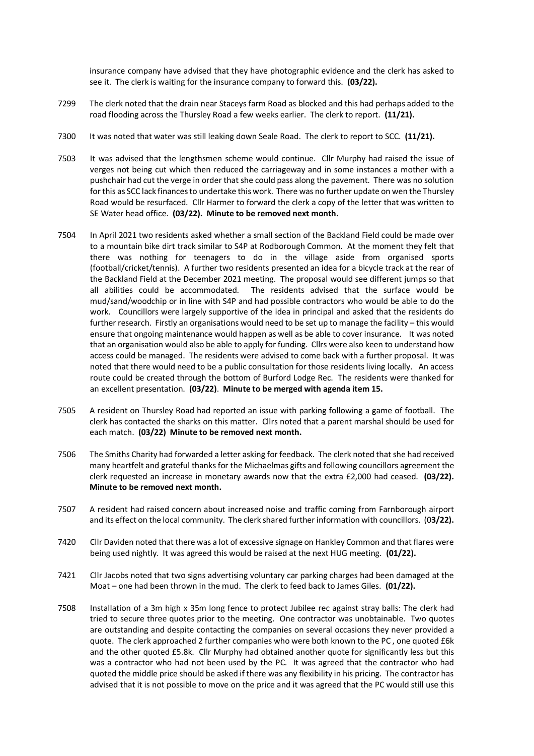insurance company have advised that they have photographic evidence and the clerk has asked to see it. The clerk is waiting for the insurance company to forward this. **(03/22).**

- 7299 The clerk noted that the drain near Staceys farm Road as blocked and this had perhaps added to the road flooding across the Thursley Road a few weeks earlier. The clerk to report. **(11/21).**
- 7300 It was noted that water was still leaking down Seale Road. The clerk to report to SCC. **(11/21).**
- 7503 It was advised that the lengthsmen scheme would continue. Cllr Murphy had raised the issue of verges not being cut which then reduced the carriageway and in some instances a mother with a pushchair had cut the verge in order that she could pass along the pavement. There was no solution for this as SCC lack finances to undertake this work. There was no further update on wen the Thursley Road would be resurfaced. Cllr Harmer to forward the clerk a copy of the letter that was written to SE Water head office. **(03/22). Minute to be removed next month.**
- 7504 In April 2021 two residents asked whether a small section of the Backland Field could be made over to a mountain bike dirt track similar to S4P at Rodborough Common. At the moment they felt that there was nothing for teenagers to do in the village aside from organised sports (football/cricket/tennis). A further two residents presented an idea for a bicycle track at the rear of the Backland Field at the December 2021 meeting. The proposal would see different jumps so that all abilities could be accommodated. The residents advised that the surface would be mud/sand/woodchip or in line with S4P and had possible contractors who would be able to do the work. Councillors were largely supportive of the idea in principal and asked that the residents do further research. Firstly an organisations would need to be set up to manage the facility – this would ensure that ongoing maintenance would happen as well as be able to cover insurance. It was noted that an organisation would also be able to apply for funding. Cllrs were also keen to understand how access could be managed. The residents were advised to come back with a further proposal. It was noted that there would need to be a public consultation for those residents living locally. An access route could be created through the bottom of Burford Lodge Rec. The residents were thanked for an excellent presentation. **(03/22)**. **Minute to be merged with agenda item 15.**
- 7505 A resident on Thursley Road had reported an issue with parking following a game of football. The clerk has contacted the sharks on this matter. Cllrs noted that a parent marshal should be used for each match. **(03/22) Minute to be removed next month.**
- 7506 The Smiths Charity had forwarded a letter asking for feedback. The clerk noted that she had received many heartfelt and grateful thanks for the Michaelmas gifts and following councillors agreement the clerk requested an increase in monetary awards now that the extra £2,000 had ceased. **(03/22). Minute to be removed next month.**
- 7507 A resident had raised concern about increased noise and traffic coming from Farnborough airport and its effect on the local community. The clerk shared further information with councillors. (0**3/22).**
- 7420 Cllr Daviden noted that there was a lot of excessive signage on Hankley Common and that flares were being used nightly. It was agreed this would be raised at the next HUG meeting. **(01/22).**
- 7421 Cllr Jacobs noted that two signs advertising voluntary car parking charges had been damaged at the Moat – one had been thrown in the mud. The clerk to feed back to James Giles. **(01/22).**
- 7508 Installation of a 3m high x 35m long fence to protect Jubilee rec against stray balls: The clerk had tried to secure three quotes prior to the meeting. One contractor was unobtainable. Two quotes are outstanding and despite contacting the companies on several occasions they never provided a quote. The clerk approached 2 further companies who were both known to the PC , one quoted £6k and the other quoted £5.8k. Cllr Murphy had obtained another quote for significantly less but this was a contractor who had not been used by the PC. It was agreed that the contractor who had quoted the middle price should be asked if there was any flexibility in his pricing. The contractor has advised that it is not possible to move on the price and it was agreed that the PC would still use this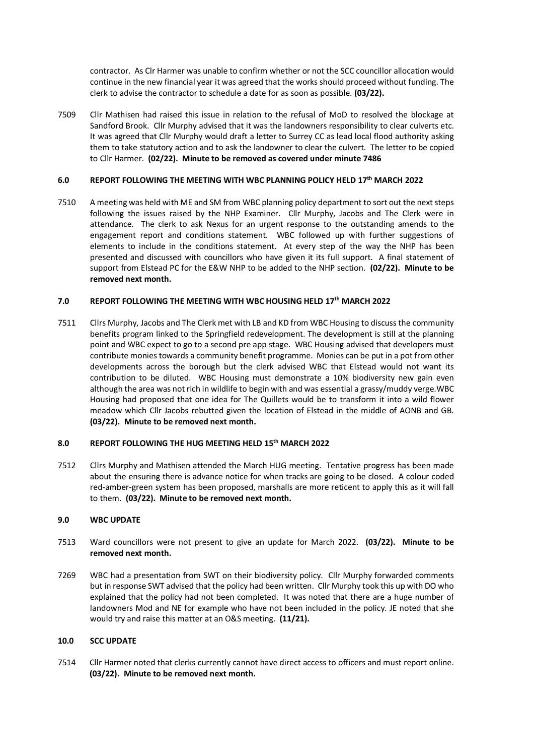contractor. As Clr Harmer was unable to confirm whether or not the SCC councillor allocation would continue in the new financial year it was agreed that the works should proceed without funding. The clerk to advise the contractor to schedule a date for as soon as possible. **(03/22).**

7509 Cllr Mathisen had raised this issue in relation to the refusal of MoD to resolved the blockage at Sandford Brook. Cllr Murphy advised that it was the landowners responsibility to clear culverts etc. It was agreed that Cllr Murphy would draft a letter to Surrey CC as lead local flood authority asking them to take statutory action and to ask the landowner to clear the culvert. The letter to be copied to Cllr Harmer. **(02/22). Minute to be removed as covered under minute 7486**

### **6.0 REPORT FOLLOWING THE MEETING WITH WBC PLANNING POLICY HELD 17th MARCH 2022**

7510 A meeting was held with ME and SM from WBC planning policy department to sort out the next steps following the issues raised by the NHP Examiner. Cllr Murphy, Jacobs and The Clerk were in attendance. The clerk to ask Nexus for an urgent response to the outstanding amends to the engagement report and conditions statement. WBC followed up with further suggestions of elements to include in the conditions statement. At every step of the way the NHP has been presented and discussed with councillors who have given it its full support. A final statement of support from Elstead PC for the E&W NHP to be added to the NHP section. **(02/22). Minute to be removed next month.**

# **7.0 REPORT FOLLOWING THE MEETING WITH WBC HOUSING HELD 17th MARCH 2022**

7511 Cllrs Murphy, Jacobs and The Clerk met with LB and KD from WBC Housing to discuss the community benefits program linked to the Springfield redevelopment. The development is still at the planning point and WBC expect to go to a second pre app stage. WBC Housing advised that developers must contribute monies towards a community benefit programme. Monies can be put in a pot from other developments across the borough but the clerk advised WBC that Elstead would not want its contribution to be diluted. WBC Housing must demonstrate a 10% biodiversity new gain even although the area was not rich in wildlife to begin with and was essential a grassy/muddy verge.WBC Housing had proposed that one idea for The Quillets would be to transform it into a wild flower meadow which Cllr Jacobs rebutted given the location of Elstead in the middle of AONB and GB. **(03/22). Minute to be removed next month.**

# **8.0 REPORT FOLLOWING THE HUG MEETING HELD 15th MARCH 2022**

7512 Cllrs Murphy and Mathisen attended the March HUG meeting. Tentative progress has been made about the ensuring there is advance notice for when tracks are going to be closed. A colour coded red-amber-green system has been proposed, marshalls are more reticent to apply this as it will fall to them. **(03/22). Minute to be removed next month.**

# **9.0 WBC UPDATE**

- 7513 Ward councillors were not present to give an update for March 2022. **(03/22). Minute to be removed next month.**
- 7269 WBC had a presentation from SWT on their biodiversity policy. Cllr Murphy forwarded comments but in response SWT advised that the policy had been written. Cllr Murphy took this up with DO who explained that the policy had not been completed. It was noted that there are a huge number of landowners Mod and NE for example who have not been included in the policy. JE noted that she would try and raise this matter at an O&S meeting. **(11/21).**

#### **10.0 SCC UPDATE**

7514 Cllr Harmer noted that clerks currently cannot have direct access to officers and must report online. **(03/22). Minute to be removed next month.**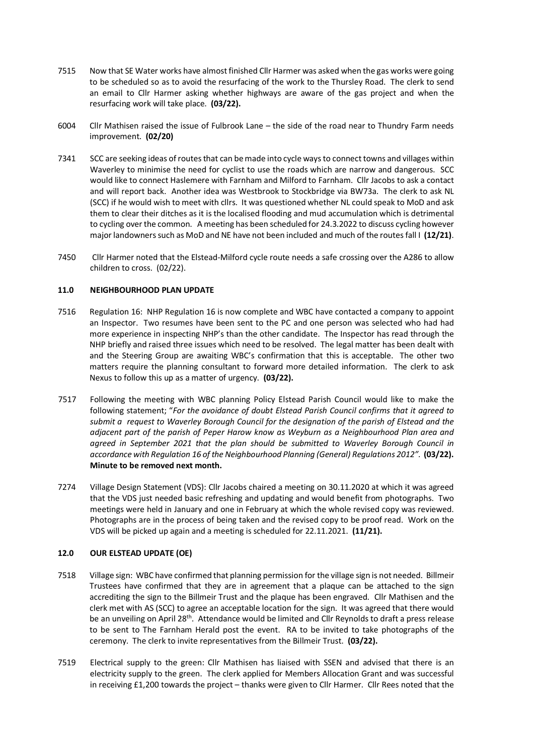- 7515 Now that SE Water works have almost finished Cllr Harmer was asked when the gas works were going to be scheduled so as to avoid the resurfacing of the work to the Thursley Road. The clerk to send an email to Cllr Harmer asking whether highways are aware of the gas project and when the resurfacing work will take place. **(03/22).**
- 6004 Cllr Mathisen raised the issue of Fulbrook Lane the side of the road near to Thundry Farm needs improvement. **(02/20)**
- 7341 SCC are seeking ideas of routes that can be made into cycle ways to connect towns and villages within Waverley to minimise the need for cyclist to use the roads which are narrow and dangerous. SCC would like to connect Haslemere with Farnham and Milford to Farnham. Cllr Jacobs to ask a contact and will report back. Another idea was Westbrook to Stockbridge via BW73a. The clerk to ask NL (SCC) if he would wish to meet with cllrs. It was questioned whether NL could speak to MoD and ask them to clear their ditches as it is the localised flooding and mud accumulation which is detrimental to cycling over the common. A meeting has been scheduled for 24.3.2022 to discuss cycling however major landowners such as MoD and NE have not been included and much of the routes fall I **(12/21)**.
- 7450 Cllr Harmer noted that the Elstead-Milford cycle route needs a safe crossing over the A286 to allow children to cross. (02/22).

#### **11.0 NEIGHBOURHOOD PLAN UPDATE**

- 7516 Regulation 16: NHP Regulation 16 is now complete and WBC have contacted a company to appoint an Inspector. Two resumes have been sent to the PC and one person was selected who had had more experience in inspecting NHP's than the other candidate. The Inspector has read through the NHP briefly and raised three issues which need to be resolved. The legal matter has been dealt with and the Steering Group are awaiting WBC's confirmation that this is acceptable. The other two matters require the planning consultant to forward more detailed information. The clerk to ask Nexus to follow this up as a matter of urgency. **(03/22).**
- 7517 Following the meeting with WBC planning Policy Elstead Parish Council would like to make the following statement; "*For the avoidance of doubt Elstead Parish Council confirms that it agreed to submit a request to Waverley Borough Council for the designation of the parish of Elstead and the adjacent part of the parish of Peper Harow know as Weyburn as a Neighbourhood Plan area and agreed in September 2021 that the plan should be submitted to Waverley Borough Council in accordance with Regulation 16 of the Neighbourhood Planning (General) Regulations 2012".* **(03/22). Minute to be removed next month.**
- 7274 Village Design Statement (VDS): Cllr Jacobs chaired a meeting on 30.11.2020 at which it was agreed that the VDS just needed basic refreshing and updating and would benefit from photographs. Two meetings were held in January and one in February at which the whole revised copy was reviewed. Photographs are in the process of being taken and the revised copy to be proof read. Work on the VDS will be picked up again and a meeting is scheduled for 22.11.2021. **(11/21).**

#### **12.0 OUR ELSTEAD UPDATE (OE)**

- 7518 Village sign: WBC have confirmed that planning permission for the village sign is not needed. Billmeir Trustees have confirmed that they are in agreement that a plaque can be attached to the sign accrediting the sign to the Billmeir Trust and the plaque has been engraved. Cllr Mathisen and the clerk met with AS (SCC) to agree an acceptable location for the sign. It was agreed that there would be an unveiling on April 28<sup>th</sup>. Attendance would be limited and Cllr Reynolds to draft a press release to be sent to The Farnham Herald post the event. RA to be invited to take photographs of the ceremony. The clerk to invite representatives from the Billmeir Trust. **(03/22).**
- 7519 Electrical supply to the green: Cllr Mathisen has liaised with SSEN and advised that there is an electricity supply to the green. The clerk applied for Members Allocation Grant and was successful in receiving £1,200 towards the project – thanks were given to Cllr Harmer. Cllr Rees noted that the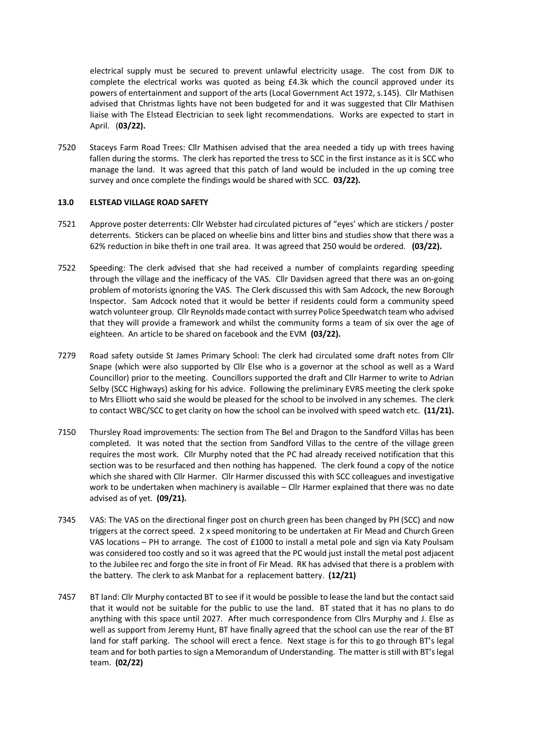electrical supply must be secured to prevent unlawful electricity usage. The cost from DJK to complete the electrical works was quoted as being £4.3k which the council approved under its powers of entertainment and support of the arts (Local Government Act 1972, s.145). Cllr Mathisen advised that Christmas lights have not been budgeted for and it was suggested that Cllr Mathisen liaise with The Elstead Electrician to seek light recommendations. Works are expected to start in April. (**03/22).**

7520 Staceys Farm Road Trees: Cllr Mathisen advised that the area needed a tidy up with trees having fallen during the storms. The clerk has reported the tress to SCC in the first instance as it is SCC who manage the land. It was agreed that this patch of land would be included in the up coming tree survey and once complete the findings would be shared with SCC. **03/22).**

#### **13.0 ELSTEAD VILLAGE ROAD SAFETY**

- 7521 Approve poster deterrents: Cllr Webster had circulated pictures of "eyes' which are stickers / poster deterrents. Stickers can be placed on wheelie bins and litter bins and studies show that there was a 62% reduction in bike theft in one trail area. It was agreed that 250 would be ordered. **(03/22).**
- 7522 Speeding: The clerk advised that she had received a number of complaints regarding speeding through the village and the inefficacy of the VAS. Cllr Davidsen agreed that there was an on-going problem of motorists ignoring the VAS. The Clerk discussed this with Sam Adcock, the new Borough Inspector. Sam Adcock noted that it would be better if residents could form a community speed watch volunteer group. Cllr Reynolds made contact with surrey Police Speedwatch team who advised that they will provide a framework and whilst the community forms a team of six over the age of eighteen. An article to be shared on facebook and the EVM **(03/22).**
- 7279 Road safety outside St James Primary School: The clerk had circulated some draft notes from Cllr Snape (which were also supported by Cllr Else who is a governor at the school as well as a Ward Councillor) prior to the meeting. Councillors supported the draft and Cllr Harmer to write to Adrian Selby (SCC Highways) asking for his advice. Following the preliminary EVRS meeting the clerk spoke to Mrs Elliott who said she would be pleased for the school to be involved in any schemes. The clerk to contact WBC/SCC to get clarity on how the school can be involved with speed watch etc. **(11/21).**
- 7150 Thursley Road improvements: The section from The Bel and Dragon to the Sandford Villas has been completed. It was noted that the section from Sandford Villas to the centre of the village green requires the most work. Cllr Murphy noted that the PC had already received notification that this section was to be resurfaced and then nothing has happened. The clerk found a copy of the notice which she shared with Cllr Harmer. Cllr Harmer discussed this with SCC colleagues and investigative work to be undertaken when machinery is available – Cllr Harmer explained that there was no date advised as of yet. **(09/21).**
- 7345 VAS: The VAS on the directional finger post on church green has been changed by PH (SCC) and now triggers at the correct speed. 2 x speed monitoring to be undertaken at Fir Mead and Church Green VAS locations – PH to arrange. The cost of £1000 to install a metal pole and sign via Katy Poulsam was considered too costly and so it was agreed that the PC would just install the metal post adjacent to the Jubilee rec and forgo the site in front of Fir Mead. RK has advised that there is a problem with the battery. The clerk to ask Manbat for a replacement battery. **(12/21)**
- 7457 BT land: Cllr Murphy contacted BT to see if it would be possible to lease the land but the contact said that it would not be suitable for the public to use the land. BT stated that it has no plans to do anything with this space until 2027. After much correspondence from Cllrs Murphy and J. Else as well as support from Jeremy Hunt, BT have finally agreed that the school can use the rear of the BT land for staff parking. The school will erect a fence. Next stage is for this to go through BT's legal team and for both parties to sign a Memorandum of Understanding. The matter is still with BT's legal team. **(02/22)**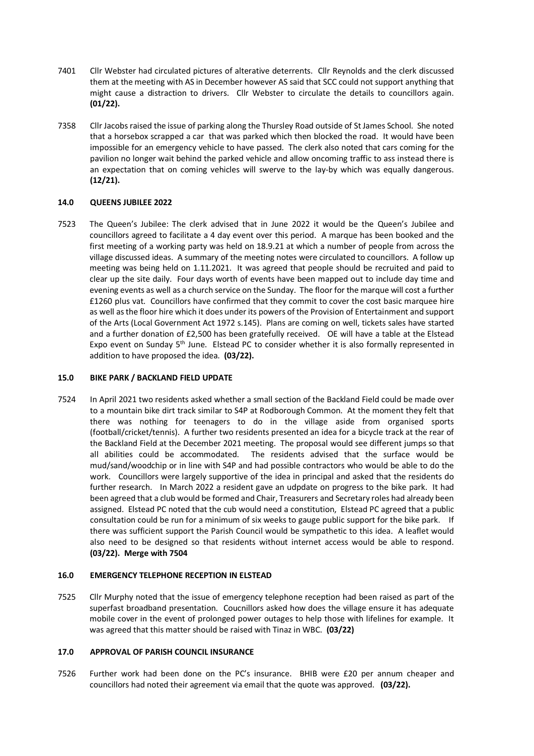- 7401 Cllr Webster had circulated pictures of alterative deterrents. Cllr Reynolds and the clerk discussed them at the meeting with AS in December however AS said that SCC could not support anything that might cause a distraction to drivers. Cllr Webster to circulate the details to councillors again. **(01/22).**
- 7358 Cllr Jacobs raised the issue of parking along the Thursley Road outside of St James School. She noted that a horsebox scrapped a car that was parked which then blocked the road. It would have been impossible for an emergency vehicle to have passed. The clerk also noted that cars coming for the pavilion no longer wait behind the parked vehicle and allow oncoming traffic to ass instead there is an expectation that on coming vehicles will swerve to the lay-by which was equally dangerous. **(12/21).**

# **14.0 QUEENS JUBILEE 2022**

7523 The Queen's Jubilee: The clerk advised that in June 2022 it would be the Queen's Jubilee and councillors agreed to facilitate a 4 day event over this period. A marque has been booked and the first meeting of a working party was held on 18.9.21 at which a number of people from across the village discussed ideas. A summary of the meeting notes were circulated to councillors. A follow up meeting was being held on 1.11.2021. It was agreed that people should be recruited and paid to clear up the site daily. Four days worth of events have been mapped out to include day time and evening events as well as a church service on the Sunday. The floor for the marque will cost a further £1260 plus vat. Councillors have confirmed that they commit to cover the cost basic marquee hire as well as the floor hire which it does under its powers of the Provision of Entertainment and support of the Arts (Local Government Act 1972 s.145). Plans are coming on well, tickets sales have started and a further donation of £2,500 has been gratefully received. OE will have a table at the Elstead Expo event on Sunday 5th June. Elstead PC to consider whether it is also formally represented in addition to have proposed the idea. **(03/22).** 

# **15.0 BIKE PARK / BACKLAND FIELD UPDATE**

7524 In April 2021 two residents asked whether a small section of the Backland Field could be made over to a mountain bike dirt track similar to S4P at Rodborough Common. At the moment they felt that there was nothing for teenagers to do in the village aside from organised sports (football/cricket/tennis). A further two residents presented an idea for a bicycle track at the rear of the Backland Field at the December 2021 meeting. The proposal would see different jumps so that all abilities could be accommodated. The residents advised that the surface would be mud/sand/woodchip or in line with S4P and had possible contractors who would be able to do the work. Councillors were largely supportive of the idea in principal and asked that the residents do further research. In March 2022 a resident gave an udpdate on progress to the bike park. It had been agreed that a club would be formed and Chair, Treasurers and Secretary roles had already been assigned. Elstead PC noted that the cub would need a constitution, Elstead PC agreed that a public consultation could be run for a minimum of six weeks to gauge public support for the bike park. If there was sufficient support the Parish Council would be sympathetic to this idea. A leaflet would also need to be designed so that residents without internet access would be able to respond. **(03/22). Merge with 7504**

#### **16.0 EMERGENCY TELEPHONE RECEPTION IN ELSTEAD**

7525 Cllr Murphy noted that the issue of emergency telephone reception had been raised as part of the superfast broadband presentation. Coucnillors asked how does the village ensure it has adequate mobile cover in the event of prolonged power outages to help those with lifelines for example. It was agreed that this matter should be raised with Tinaz in WBC. **(03/22)**

#### **17.0 APPROVAL OF PARISH COUNCIL INSURANCE**

7526 Further work had been done on the PC's insurance. BHIB were £20 per annum cheaper and councillors had noted their agreement via email that the quote was approved. **(03/22).**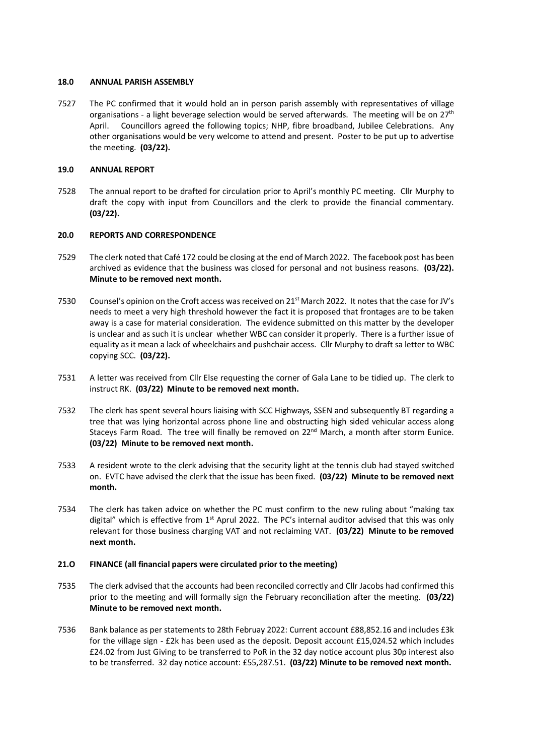#### **18.0 ANNUAL PARISH ASSEMBLY**

7527 The PC confirmed that it would hold an in person parish assembly with representatives of village organisations - a light beverage selection would be served afterwards. The meeting will be on  $27<sup>th</sup>$ April. Councillors agreed the following topics; NHP, fibre broadband, Jubilee Celebrations. Any other organisations would be very welcome to attend and present. Poster to be put up to advertise the meeting. **(03/22).**

# **19.0 ANNUAL REPORT**

7528 The annual report to be drafted for circulation prior to April's monthly PC meeting. Cllr Murphy to draft the copy with input from Councillors and the clerk to provide the financial commentary. **(03/22).**

# **20.0 REPORTS AND CORRESPONDENCE**

- 7529 The clerk noted that Café 172 could be closing at the end of March 2022. The facebook post has been archived as evidence that the business was closed for personal and not business reasons. **(03/22). Minute to be removed next month.**
- 7530 Counsel's opinion on the Croft access was received on 21<sup>st</sup> March 2022. It notes that the case for JV's needs to meet a very high threshold however the fact it is proposed that frontages are to be taken away is a case for material consideration. The evidence submitted on this matter by the developer is unclear and as such it is unclear whether WBC can consider it properly. There is a further issue of equality as it mean a lack of wheelchairs and pushchair access. Cllr Murphy to draft sa letter to WBC copying SCC. **(03/22).**
- 7531 A letter was received from Cllr Else requesting the corner of Gala Lane to be tidied up. The clerk to instruct RK. **(03/22) Minute to be removed next month.**
- 7532 The clerk has spent several hours liaising with SCC Highways, SSEN and subsequently BT regarding a tree that was lying horizontal across phone line and obstructing high sided vehicular access along Staceys Farm Road. The tree will finally be removed on 22<sup>nd</sup> March, a month after storm Eunice. **(03/22) Minute to be removed next month.**
- 7533 A resident wrote to the clerk advising that the security light at the tennis club had stayed switched on. EVTC have advised the clerk that the issue has been fixed. **(03/22) Minute to be removed next month.**
- 7534 The clerk has taken advice on whether the PC must confirm to the new ruling about "making tax digital" which is effective from  $1<sup>st</sup>$  Aprul 2022. The PC's internal auditor advised that this was only relevant for those business charging VAT and not reclaiming VAT. **(03/22) Minute to be removed next month.**

# **21.O FINANCE (all financial papers were circulated prior to the meeting)**

- 7535 The clerk advised that the accounts had been reconciled correctly and Cllr Jacobs had confirmed this prior to the meeting and will formally sign the February reconciliation after the meeting. **(03/22) Minute to be removed next month.**
- 7536 Bank balance as per statements to 28th Februay 2022: Current account £88,852.16 and includes £3k for the village sign - £2k has been used as the deposit. Deposit account £15,024.52 which includes £24.02 from Just Giving to be transferred to PoR in the 32 day notice account plus 30p interest also to be transferred. 32 day notice account: £55,287.51. **(03/22) Minute to be removed next month.**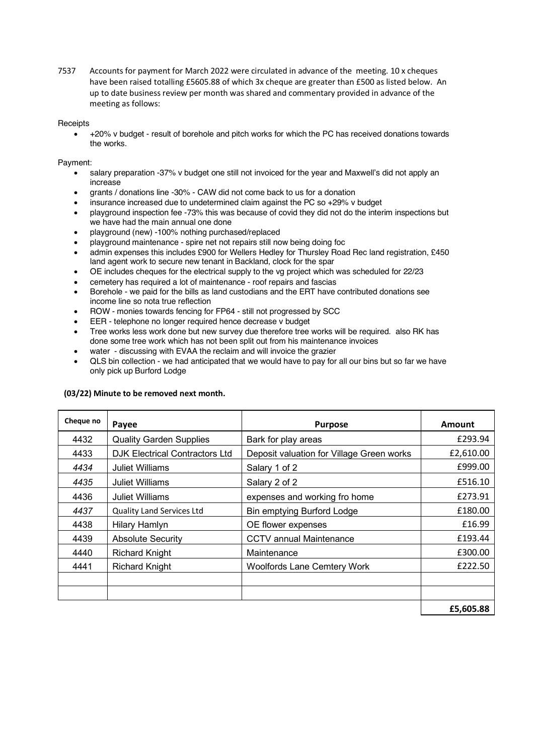7537 Accounts for payment for March 2022 were circulated in advance of the meeting. 10 x cheques have been raised totalling £5605.88 of which 3x cheque are greater than £500 as listed below. An up to date business review per month was shared and commentary provided in advance of the meeting as follows:

#### **Receipts**

• +20% v budget - result of borehole and pitch works for which the PC has received donations towards the works.

# Payment:

- salary preparation -37% v budget one still not invoiced for the year and Maxwell's did not apply an increase
- grants / donations line -30% CAW did not come back to us for a donation
- insurance increased due to undetermined claim against the PC so +29% v budget
- playground inspection fee -73% this was because of covid they did not do the interim inspections but we have had the main annual one done
- playground (new) -100% nothing purchased/replaced
- playground maintenance spire net not repairs still now being doing foc
- admin expenses this includes £900 for Wellers Hedley for Thursley Road Rec land registration, £450 land agent work to secure new tenant in Backland, clock for the spar
- OE includes cheques for the electrical supply to the vg project which was scheduled for 22/23
- cemetery has required a lot of maintenance roof repairs and fascias
- Borehole we paid for the bills as land custodians and the ERT have contributed donations see income line so nota true reflection
- ROW monies towards fencing for FP64 still not progressed by SCC
- EER telephone no longer required hence decrease v budget
- Tree works less work done but new survey due therefore tree works will be required. also RK has done some tree work which has not been split out from his maintenance invoices
- water discussing with EVAA the reclaim and will invoice the grazier
- QLS bin collection we had anticipated that we would have to pay for all our bins but so far we have only pick up Burford Lodge

# **(03/22) Minute to be removed next month.**

| Cheque no | Payee                                 | <b>Purpose</b>                            | <b>Amount</b> |
|-----------|---------------------------------------|-------------------------------------------|---------------|
| 4432      | <b>Quality Garden Supplies</b>        | Bark for play areas                       | £293.94       |
| 4433      | <b>DJK Electrical Contractors Ltd</b> | Deposit valuation for Village Green works | £2,610.00     |
| 4434      | <b>Juliet Williams</b>                | Salary 1 of 2                             | £999.00       |
| 4435      | <b>Juliet Williams</b>                | Salary 2 of 2                             | £516.10       |
| 4436      | Juliet Williams                       | expenses and working fro home             | £273.91       |
| 4437      | Quality Land Services Ltd             | Bin emptying Burford Lodge                | £180.00       |
| 4438      | Hilary Hamlyn                         | OE flower expenses                        | £16.99        |
| 4439      | <b>Absolute Security</b>              | <b>CCTV</b> annual Maintenance            | £193.44       |
| 4440      | <b>Richard Knight</b>                 | Maintenance                               | £300.00       |
| 4441      | <b>Richard Knight</b>                 | <b>Woolfords Lane Cemtery Work</b>        | £222.50       |
|           |                                       |                                           |               |
|           |                                       |                                           |               |
|           |                                       |                                           | £5,605.88     |